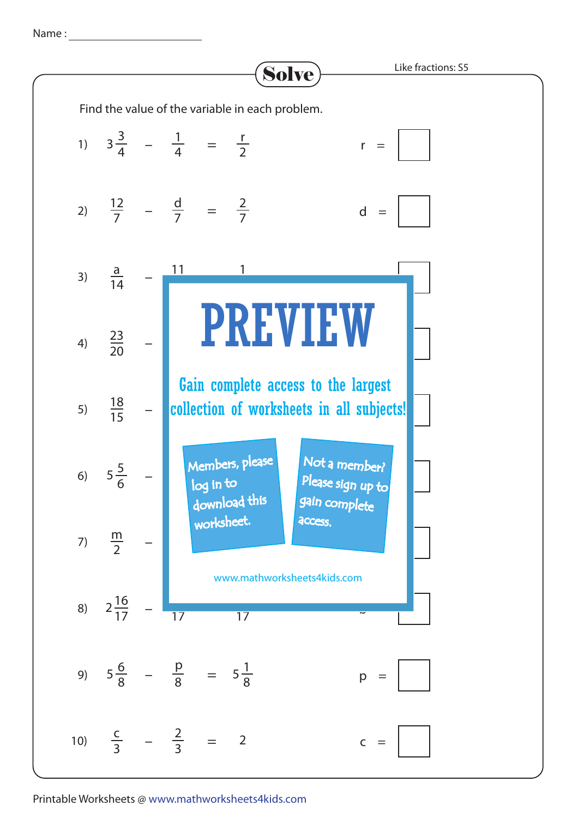